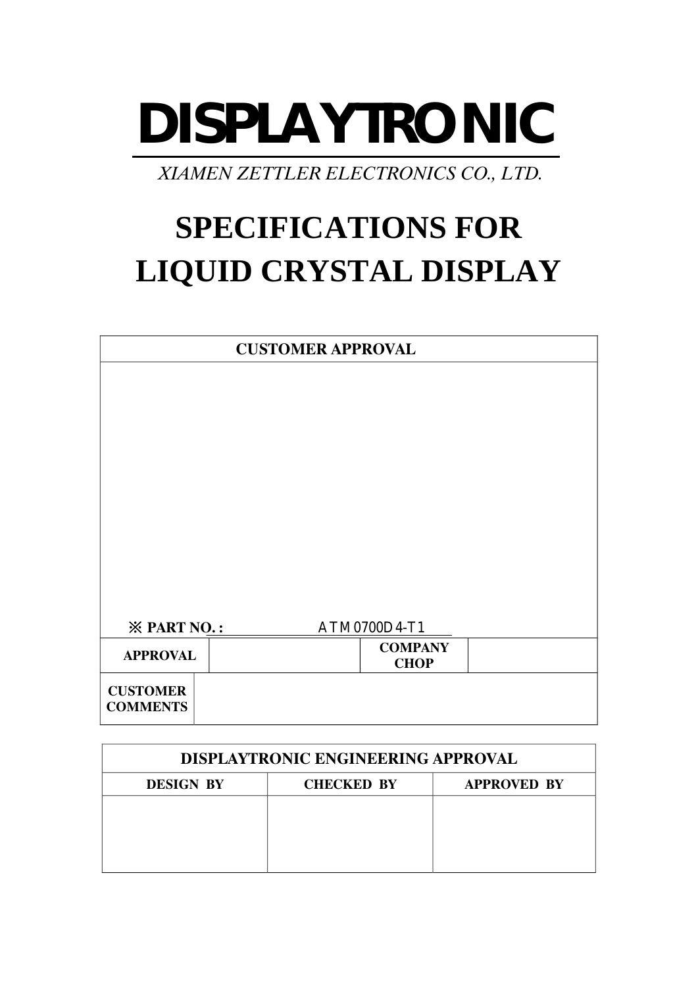# **DISPLAYTRONIC**

 *XIAMEN ZETTLER ELECTRONICS CO., LTD.* 

# **SPECIFICATIONS FOR LIQUID CRYSTAL DISPLAY**

|                                    | <b>CUSTOMER APPROVAL</b> |                               |  |
|------------------------------------|--------------------------|-------------------------------|--|
|                                    |                          |                               |  |
|                                    |                          |                               |  |
|                                    |                          |                               |  |
|                                    |                          |                               |  |
|                                    |                          |                               |  |
|                                    |                          |                               |  |
|                                    |                          |                               |  |
|                                    |                          |                               |  |
|                                    |                          |                               |  |
| <b>※ PART NO.:</b>                 |                          | ATM0700D4-T1                  |  |
| <b>APPROVAL</b>                    |                          | <b>COMPANY</b><br><b>CHOP</b> |  |
| <b>CUSTOMER</b><br><b>COMMENTS</b> |                          |                               |  |

| <b>DISPLAYTRONIC ENGINEERING APPROVAL</b> |                   |                    |  |  |  |
|-------------------------------------------|-------------------|--------------------|--|--|--|
| <b>DESIGN BY</b>                          | <b>CHECKED BY</b> | <b>APPROVED BY</b> |  |  |  |
|                                           |                   |                    |  |  |  |
|                                           |                   |                    |  |  |  |
|                                           |                   |                    |  |  |  |
|                                           |                   |                    |  |  |  |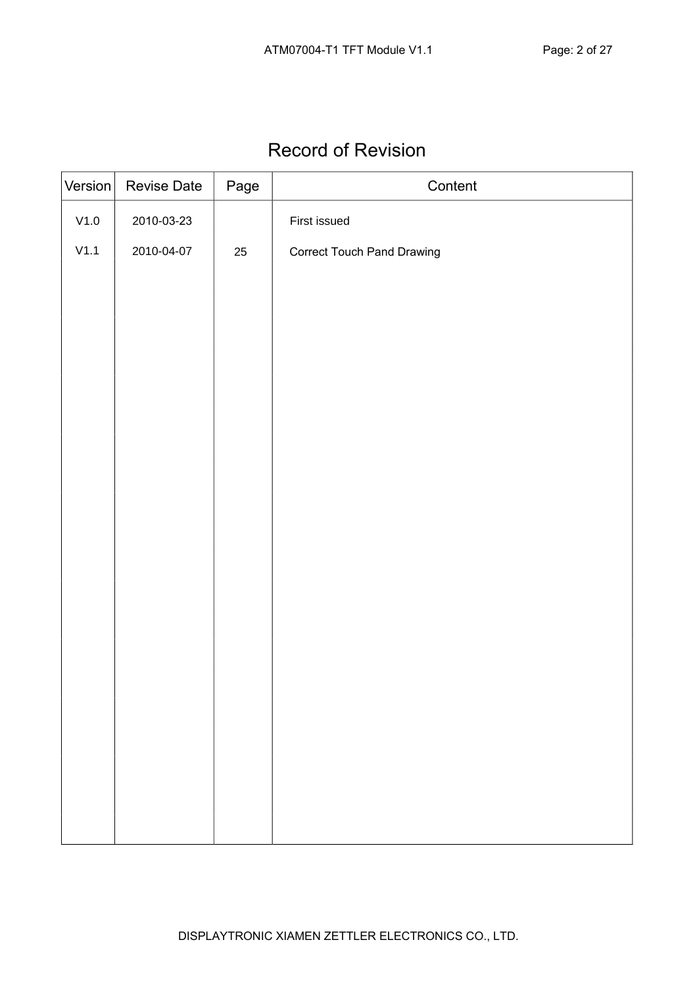## Record of Revision

| Version       | <b>Revise Date</b> | Page | Content                           |
|---------------|--------------------|------|-----------------------------------|
| $\verb V1.0 $ | 2010-03-23         |      | First issued                      |
| V1.1          | 2010-04-07         | 25   | <b>Correct Touch Pand Drawing</b> |
|               |                    |      |                                   |
|               |                    |      |                                   |
|               |                    |      |                                   |
|               |                    |      |                                   |
|               |                    |      |                                   |
|               |                    |      |                                   |
|               |                    |      |                                   |
|               |                    |      |                                   |
|               |                    |      |                                   |
|               |                    |      |                                   |
|               |                    |      |                                   |
|               |                    |      |                                   |
|               |                    |      |                                   |
|               |                    |      |                                   |
|               |                    |      |                                   |
|               |                    |      |                                   |
|               |                    |      |                                   |
|               |                    |      |                                   |
|               |                    |      |                                   |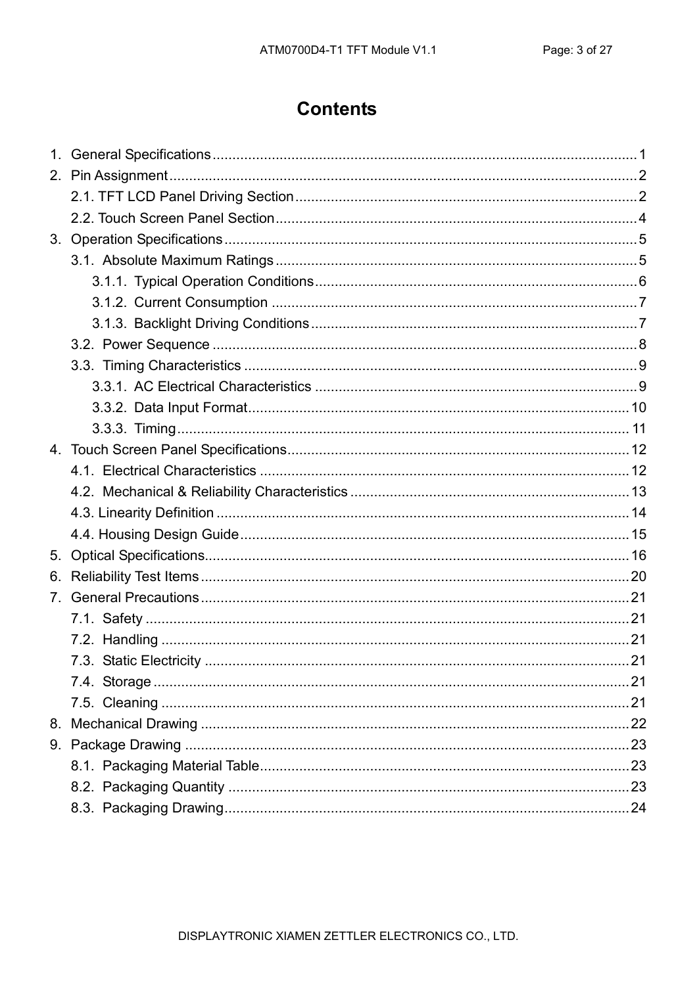#### **Contents**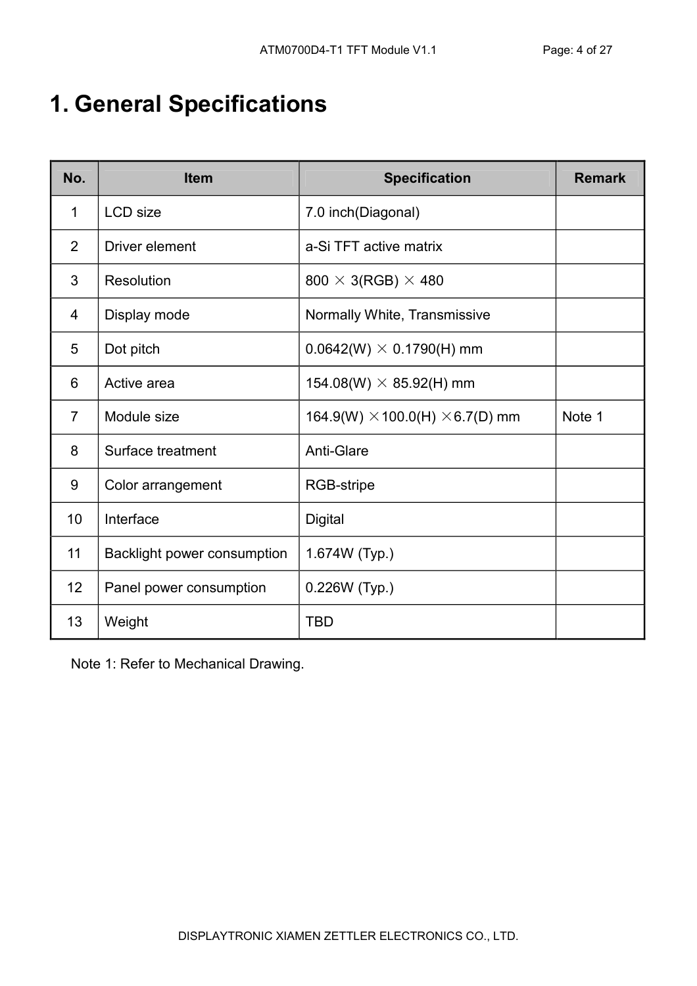# 1. General Specifications

| No.            | <b>Item</b>                 | <b>Specification</b>                          | <b>Remark</b> |
|----------------|-----------------------------|-----------------------------------------------|---------------|
| 1              | <b>LCD</b> size             | 7.0 inch(Diagonal)                            |               |
| 2              | Driver element              | a-Si TFT active matrix                        |               |
| 3              | Resolution                  | $800 \times 3(RGB) \times 480$                |               |
| 4              | Display mode                | Normally White, Transmissive                  |               |
| 5              | Dot pitch                   | $0.0642(W) \times 0.1790(H)$ mm               |               |
| 6              | Active area                 | 154.08(W) $\times$ 85.92(H) mm                |               |
| $\overline{7}$ | Module size                 | 164.9(W) $\times$ 100.0(H) $\times$ 6.7(D) mm | Note 1        |
| 8              | Surface treatment           | <b>Anti-Glare</b>                             |               |
| 9              | Color arrangement           | RGB-stripe                                    |               |
| 10             | Interface                   | <b>Digital</b>                                |               |
| 11             | Backlight power consumption | 1.674W (Typ.)                                 |               |
| 12             | Panel power consumption     | 0.226W (Typ.)                                 |               |
| 13             | Weight                      | <b>TBD</b>                                    |               |

Note 1: Refer to Mechanical Drawing.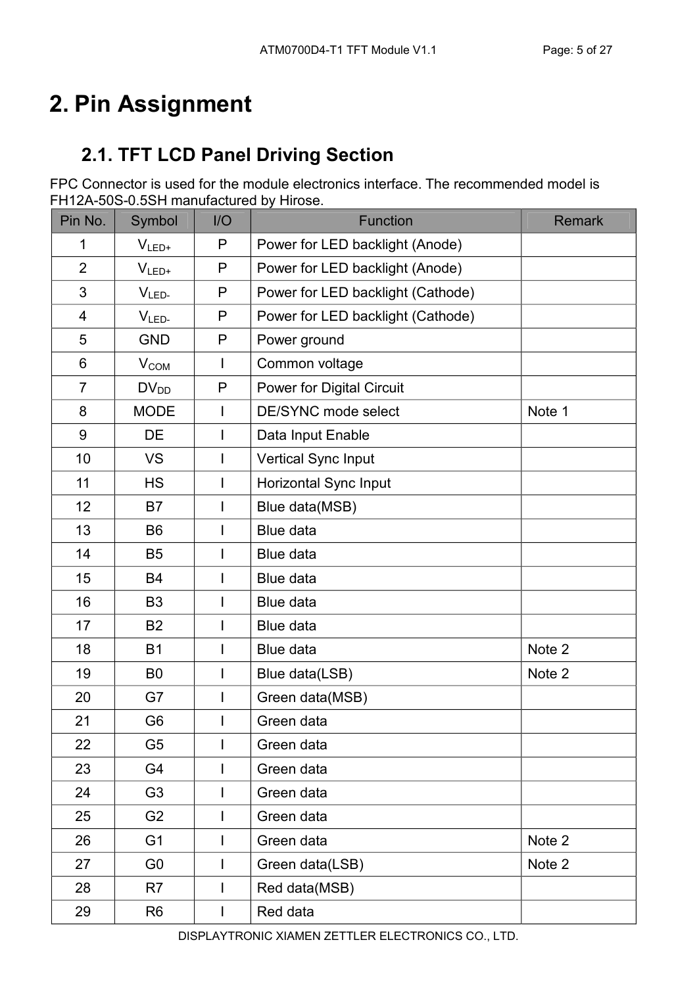# 2. Pin Assignment

## 2.1. TFT LCD Panel Driving Section

FPC Connector is used for the module electronics interface. The recommended model is FH12A-50S-0.5SH manufactured by Hirose.

| Pin No.        | Symbol           | I/O            | <b>Function</b>                   | <b>Remark</b> |
|----------------|------------------|----------------|-----------------------------------|---------------|
| 1              | $V_{LED+}$       | P              | Power for LED backlight (Anode)   |               |
| $\overline{2}$ | $V_{LED+}$       | P              | Power for LED backlight (Anode)   |               |
| 3              | $VLED-$          | P              | Power for LED backlight (Cathode) |               |
| 4              | $V_{LED}$        | P              | Power for LED backlight (Cathode) |               |
| 5              | <b>GND</b>       | P              | Power ground                      |               |
| 6              | V <sub>COM</sub> | $\mathsf{I}$   | Common voltage                    |               |
| $\overline{7}$ | $DV_{DD}$        | P              | <b>Power for Digital Circuit</b>  |               |
| 8              | <b>MODE</b>      | I              | DE/SYNC mode select               | Note 1        |
| 9              | <b>DE</b>        | I              | Data Input Enable                 |               |
| 10             | <b>VS</b>        | I              | Vertical Sync Input               |               |
| 11             | <b>HS</b>        | I              | Horizontal Sync Input             |               |
| 12             | <b>B7</b>        | I              | Blue data(MSB)                    |               |
| 13             | B <sub>6</sub>   | I              | Blue data                         |               |
| 14             | <b>B5</b>        | I              | Blue data                         |               |
| 15             | <b>B4</b>        | $\mathsf{I}$   | Blue data                         |               |
| 16             | B <sub>3</sub>   | I              | Blue data                         |               |
| 17             | <b>B2</b>        | I              | Blue data                         |               |
| 18             | <b>B1</b>        | $\mathsf{I}$   | Blue data                         | Note 2        |
| 19             | B <sub>0</sub>   | $\overline{1}$ | Blue data(LSB)                    | Note 2        |
| 20             | G7               | I              | Green data(MSB)                   |               |
| 21             | G <sub>6</sub>   | I              | Green data                        |               |
| 22             | G <sub>5</sub>   | I              | Green data                        |               |
| 23             | G4               | I              | Green data                        |               |
| 24             | G <sub>3</sub>   | I              | Green data                        |               |
| 25             | G <sub>2</sub>   | I              | Green data                        |               |
| 26             | G <sub>1</sub>   | I              | Green data                        | Note 2        |
| 27             | G <sub>0</sub>   | I              | Green data(LSB)                   | Note 2        |
| 28             | R7               | I              | Red data(MSB)                     |               |
| 29             | R <sub>6</sub>   | I              | Red data                          |               |

DISPLAYTRONIC XIAMEN ZETTLER ELECTRONICS CO., LTD.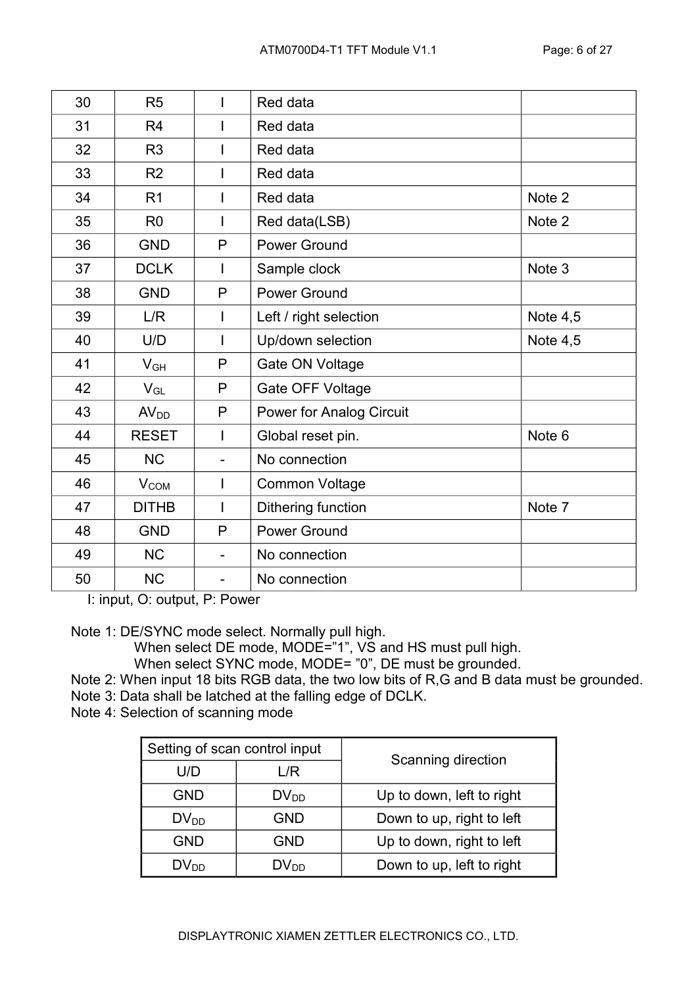| 30 | R <sub>5</sub>   |                          | Red data                        |            |
|----|------------------|--------------------------|---------------------------------|------------|
| 31 | R <sub>4</sub>   | I                        | Red data                        |            |
| 32 | R <sub>3</sub>   |                          | Red data                        |            |
| 33 | R <sub>2</sub>   | $\mathsf{I}$             | Red data                        |            |
| 34 | R1               | $\mathsf{I}$             | Red data                        | Note 2     |
| 35 | R <sub>0</sub>   | $\mathsf{I}$             | Red data(LSB)                   | Note 2     |
| 36 | <b>GND</b>       | P                        | <b>Power Ground</b>             |            |
| 37 | <b>DCLK</b>      | $\mathbf{I}$             | Sample clock                    | Note 3     |
| 38 | <b>GND</b>       | $\mathsf{P}$             | <b>Power Ground</b>             |            |
| 39 | L/R              | T                        | Left / right selection          | Note $4,5$ |
| 40 | U/D              | $\mathsf{I}$             | Up/down selection               | Note $4,5$ |
| 41 | $V_{GH}$         | P                        | Gate ON Voltage                 |            |
| 42 | $V_{GL}$         | P                        | Gate OFF Voltage                |            |
| 43 | AV <sub>DD</sub> | $\mathsf{P}$             | <b>Power for Analog Circuit</b> |            |
| 44 | <b>RESET</b>     | $\mathsf{I}$             | Global reset pin.               | Note 6     |
| 45 | <b>NC</b>        |                          | No connection                   |            |
| 46 | V <sub>COM</sub> | $\mathsf{I}$             | <b>Common Voltage</b>           |            |
| 47 | <b>DITHB</b>     | $\overline{1}$           | Dithering function              | Note 7     |
| 48 | <b>GND</b>       | P                        | <b>Power Ground</b>             |            |
| 49 | <b>NC</b>        | $\overline{\phantom{0}}$ | No connection                   |            |
| 50 | <b>NC</b>        | $\overline{\phantom{0}}$ | No connection                   |            |

I: input, O: output, P: Power

Note 1: DE/SYNC mode select. Normally pull high.

When select DE mode, MODE="1", VS and HS must pull high.

When select SYNC mode, MODE= "0", DE must be grounded.

Note 2: When input 18 bits RGB data, the two low bits of R,G and B data must be grounded.

Note 3: Data shall be latched at the falling edge of DCLK.

Note 4: Selection of scanning mode

| Setting of scan control input |                  | Scanning direction        |
|-------------------------------|------------------|---------------------------|
| U/D                           | L/R              |                           |
| <b>GND</b>                    | DV <sub>DD</sub> | Up to down, left to right |
| $DV_{DD}$                     | <b>GND</b>       | Down to up, right to left |
| <b>GND</b>                    | <b>GND</b>       | Up to down, right to left |
| $DV_{DD}$                     | $DV_{DD}$        | Down to up, left to right |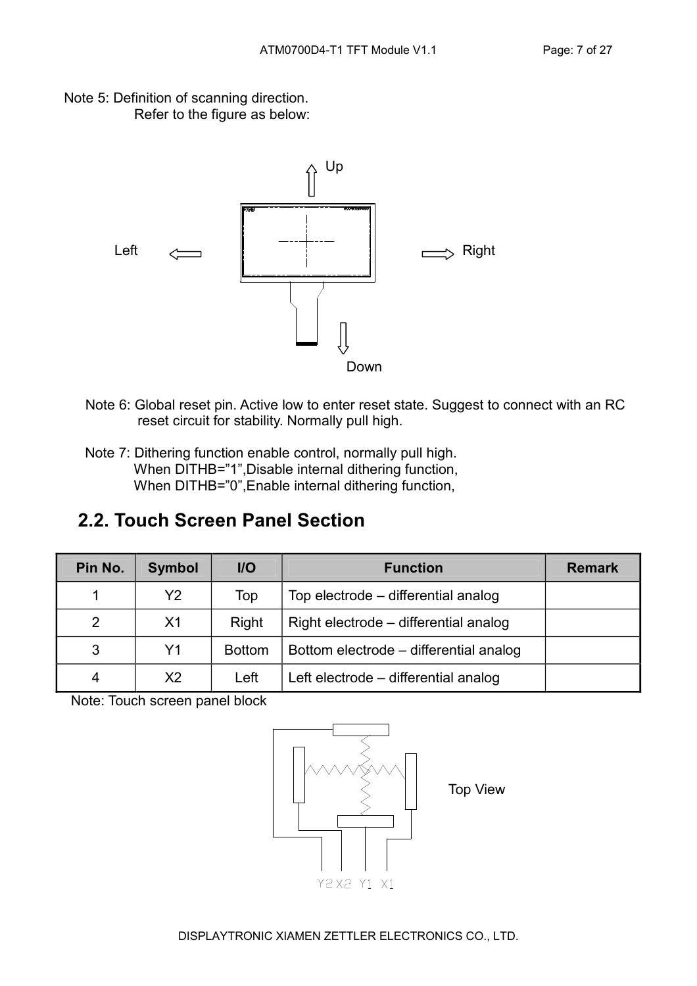Note 5: Definition of scanning direction. Refer to the figure as below:



- Note 6: Global reset pin. Active low to enter reset state. Suggest to connect with an RC reset circuit for stability. Normally pull high.
- Note 7: Dithering function enable control, normally pull high. When DITHB="1",Disable internal dithering function, When DITHB="0", Enable internal dithering function,

#### 2.2. Touch Screen Panel Section

| Pin No. | <b>Symbol</b>  | $II$          | <b>Function</b>                        | <b>Remark</b> |
|---------|----------------|---------------|----------------------------------------|---------------|
|         | Υ2             | Top           | Top electrode – differential analog    |               |
| 2       | X <sub>1</sub> | Right         | Right electrode – differential analog  |               |
| 3       | Y <sub>1</sub> | <b>Bottom</b> | Bottom electrode – differential analog |               |
| 4       | X <sub>2</sub> | Left          | Left electrode – differential analog   |               |

Note: Touch screen panel block

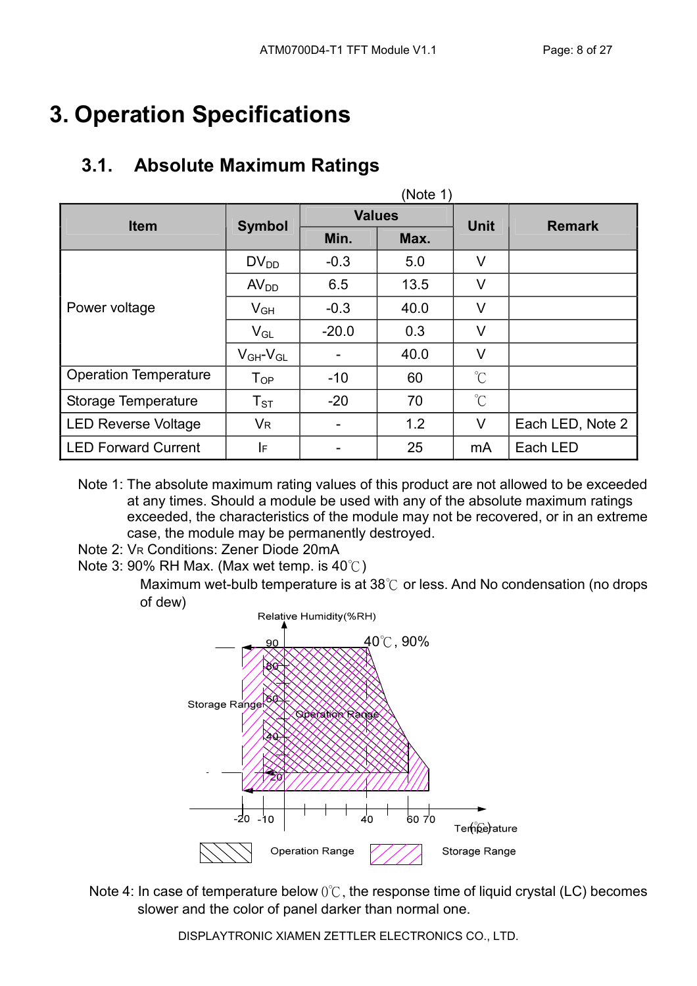# 3. Operation Specifications

## 3.1. Absolute Maximum Ratings

| (Note 1)                     |                            |               |      |                      |                  |  |  |
|------------------------------|----------------------------|---------------|------|----------------------|------------------|--|--|
| <b>Item</b>                  | <b>Symbol</b>              | <b>Values</b> |      | <b>Unit</b>          | <b>Remark</b>    |  |  |
|                              |                            | Min.          | Max. |                      |                  |  |  |
|                              | $DV_{DD}$                  | $-0.3$        | 5.0  | $\vee$               |                  |  |  |
|                              | AV <sub>DD</sub>           | 6.5           | 13.5 | V                    |                  |  |  |
| Power voltage                | $V_{GH}$                   | $-0.3$        | 40.0 | V                    |                  |  |  |
|                              | $V_{GL}$                   | $-20.0$       | 0.3  | $\vee$               |                  |  |  |
|                              | $V_{GH}$ - $V_{GL}$        |               | 40.0 | V                    |                  |  |  |
| <b>Operation Temperature</b> | $T_{OP}$                   | $-10$         | 60   | $^{\circ}C$          |                  |  |  |
| Storage Temperature          | $\mathsf{T}_{\texttt{ST}}$ | $-20$         | 70   | $\mathrm{C}^{\circ}$ |                  |  |  |
| <b>LED Reverse Voltage</b>   | <b>V<sub>R</sub></b>       | -             | 1.2  | V                    | Each LED, Note 2 |  |  |
| <b>LED Forward Current</b>   | IF                         |               | 25   | mA                   | Each LED         |  |  |

- Note 1: The absolute maximum rating values of this product are not allowed to be exceeded at any times. Should a module be used with any of the absolute maximum ratings exceeded, the characteristics of the module may not be recovered, or in an extreme case, the module may be permanently destroyed.
- Note 2: VR Conditions: Zener Diode 20mA
- Note 3: 90% RH Max. (Max wet temp. is 40℃)

Maximum wet-bulb temperature is at 38℃ or less. And No condensation (no drops of dew)



Note 4: In case of temperature below 0℃, the response time of liquid crystal (LC) becomes slower and the color of panel darker than normal one.

DISPLAYTRONIC XIAMEN ZETTLER ELECTRONICS CO., LTD.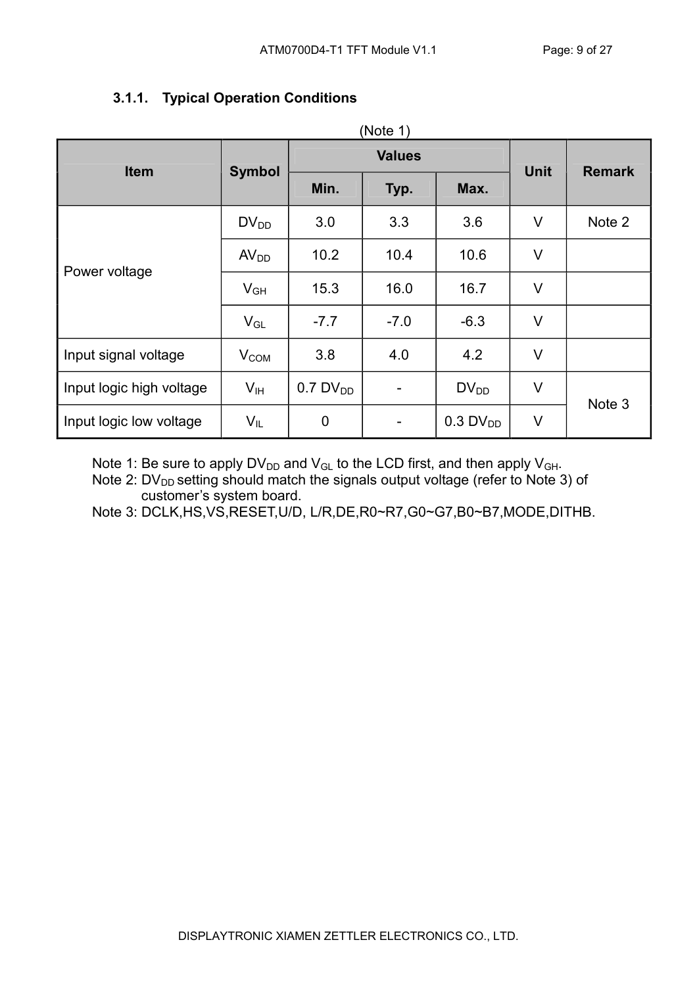| <b>Item</b>              |                  |                        | <b>Values</b> | <b>Unit</b>            |        |               |
|--------------------------|------------------|------------------------|---------------|------------------------|--------|---------------|
|                          | <b>Symbol</b>    | Min.                   | Typ.          | Max.                   |        | <b>Remark</b> |
|                          | $DV_{DD}$        | 3.0                    | 3.3           | 3.6                    | $\vee$ | Note 2        |
| Power voltage            | AV <sub>DD</sub> | 10.2                   | 10.4          | 10.6                   | $\vee$ |               |
|                          | $V_{GH}$         | 15.3                   | 16.0          | 16.7                   | $\vee$ |               |
|                          | $V_{GL}$         | $-7.7$                 | $-7.0$        | $-6.3$                 | $\vee$ |               |
| Input signal voltage     | $V_{COM}$        | 3.8                    | 4.0           | 4.2                    | $\vee$ |               |
| Input logic high voltage | V <sub>IH</sub>  | $0.7$ DV <sub>DD</sub> |               | $DV_{DD}$              | $\vee$ | Note 3        |
| Input logic low voltage  | $V_{IL}$         | $\mathbf 0$            |               | $0.3$ DV <sub>DD</sub> | V      |               |

#### 3.1.1. Typical Operation Conditions

Note 1: Be sure to apply  $DV_{DD}$  and  $V_{GL}$  to the LCD first, and then apply  $V_{GH}$ .

Note 2:  $DV_{DD}$  setting should match the signals output voltage (refer to Note 3) of customer's system board.

Note 3: DCLK,HS,VS,RESET,U/D, L/R,DE,R0~R7,G0~G7,B0~B7,MODE,DITHB.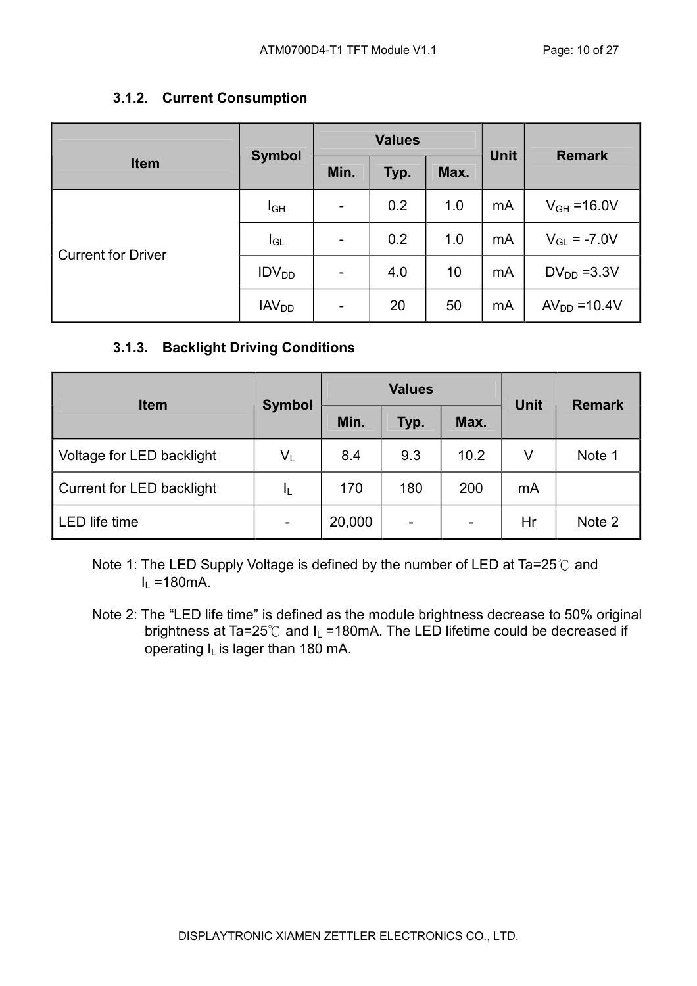#### 3.1.2. Current Consumption

|                           | <b>Symbol</b>           |                          | <b>Values</b> |      | <b>Unit</b> | <b>Remark</b>    |  |
|---------------------------|-------------------------|--------------------------|---------------|------|-------------|------------------|--|
| <b>Item</b>               |                         | Min.                     | Typ.          | Max. |             |                  |  |
|                           | <b>I</b> GH             | $\overline{\phantom{a}}$ | 0.2           | 1.0  | mA          | $V_{GH} = 16.0V$ |  |
| <b>Current for Driver</b> | $I_{GL}$                | $\overline{\phantom{a}}$ | 0.2           | 1.0  | mA          | $V_{GL} = -7.0V$ |  |
|                           | IDV <sub>DD</sub>       | $\overline{\phantom{0}}$ | 4.0           | 10   | mA          | $DV_{DD} = 3.3V$ |  |
|                           | <b>IAV<sub>DD</sub></b> | ۰                        | 20            | 50   | mA          | $AVDD = 10.4V$   |  |

#### 3.1.3. Backlight Driving Conditions

| <b>Item</b>               | <b>Symbol</b>             |        | <b>Values</b> | <b>Unit</b>              | <b>Remark</b> |        |
|---------------------------|---------------------------|--------|---------------|--------------------------|---------------|--------|
|                           |                           | Min.   | Typ.          | Max.                     |               |        |
| Voltage for LED backlight | $\mathsf{V}_{\mathsf{L}}$ | 8.4    | 9.3           | 10.2                     | V             | Note 1 |
| Current for LED backlight | ΙL                        | 170    | 180           | 200                      | mA            |        |
| LED life time             | -                         | 20,000 |               | $\overline{\phantom{0}}$ | Hr            | Note 2 |

Note 1: The LED Supply Voltage is defined by the number of LED at Ta=25℃ and  $I_1$  =180mA.

Note 2: The "LED life time" is defined as the module brightness decrease to 50% original brightness at Ta=25 $^{\circ}$ C and I<sub>L</sub> =180mA. The LED lifetime could be decreased if operating  $I_L$  is lager than 180 mA.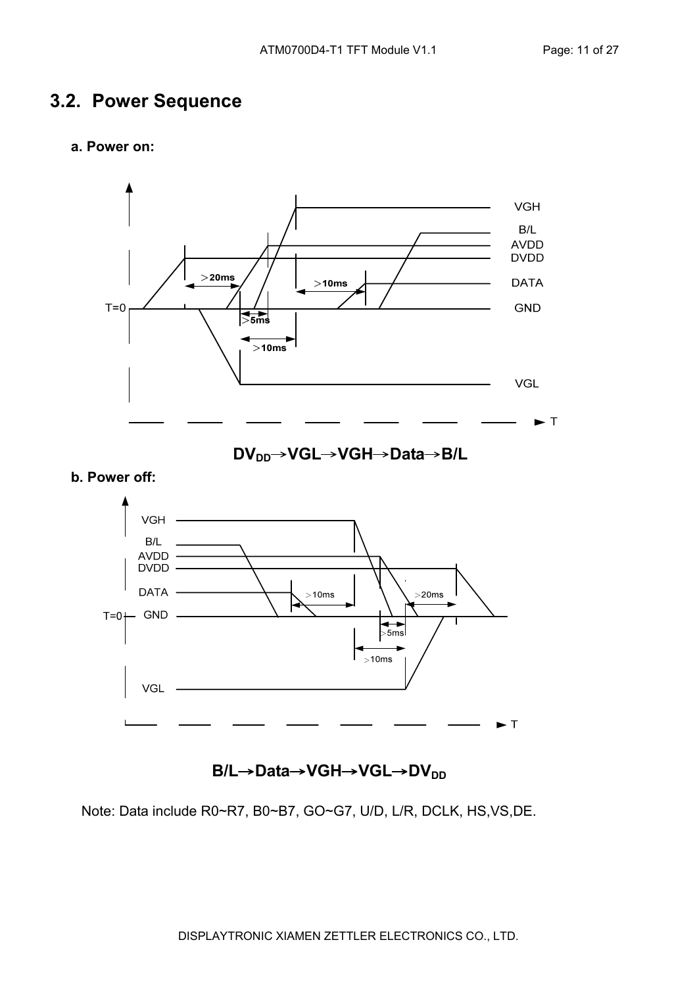#### 3.2. Power Sequence

#### a. Power on:



DV<sub>DD</sub>→VGL→VGH→Data→B/L





B/L→Data→VGH→VGL→DV<sub>DD</sub>

Note: Data include R0~R7, B0~B7, GO~G7, U/D, L/R, DCLK, HS,VS,DE.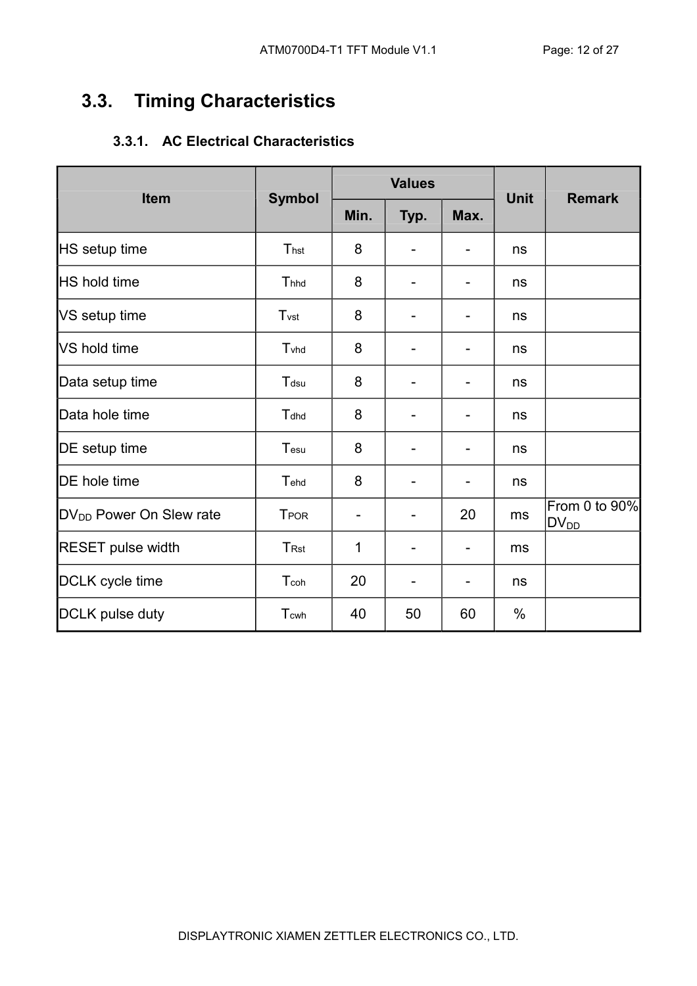## 3.3. Timing Characteristics

#### 3.3.1. AC Electrical Characteristics

| <b>Item</b>                         |                         |      | <b>Values</b> |                          | <b>Unit</b> | <b>Remark</b>              |
|-------------------------------------|-------------------------|------|---------------|--------------------------|-------------|----------------------------|
|                                     | <b>Symbol</b>           | Min. | Typ.          | Max.                     |             |                            |
| HS setup time                       | Thst                    | 8    |               |                          | ns          |                            |
| <b>HS</b> hold time                 | Thhd                    | 8    |               | $\overline{\phantom{a}}$ | ns          |                            |
| VS setup time                       | T <sub>vst</sub>        | 8    |               |                          | ns          |                            |
| <b>VS hold time</b>                 | Tyhd                    | 8    |               |                          | ns          |                            |
| Data setup time                     | Tdsu                    | 8    |               | $\overline{\phantom{a}}$ | ns          |                            |
| Data hole time                      | Tdhd                    | 8    |               |                          | ns          |                            |
| DE setup time                       | Tesu                    | 8    |               | $\overline{\phantom{0}}$ | ns          |                            |
| DE hole time                        | Tehd                    | 8    |               | $\overline{\phantom{a}}$ | ns          |                            |
| DV <sub>DD</sub> Power On Slew rate | <b>TPOR</b>             |      |               | 20                       | ms          | From 0 to 90%<br>$DV_{DD}$ |
| <b>RESET pulse width</b>            | <b>T</b> <sub>Rst</sub> | 1    |               | $\overline{\phantom{a}}$ | ms          |                            |
| DCLK cycle time                     | Tcoh                    | 20   |               |                          | ns          |                            |
| <b>DCLK</b> pulse duty              | Tcwh                    | 40   | 50            | 60                       | %           |                            |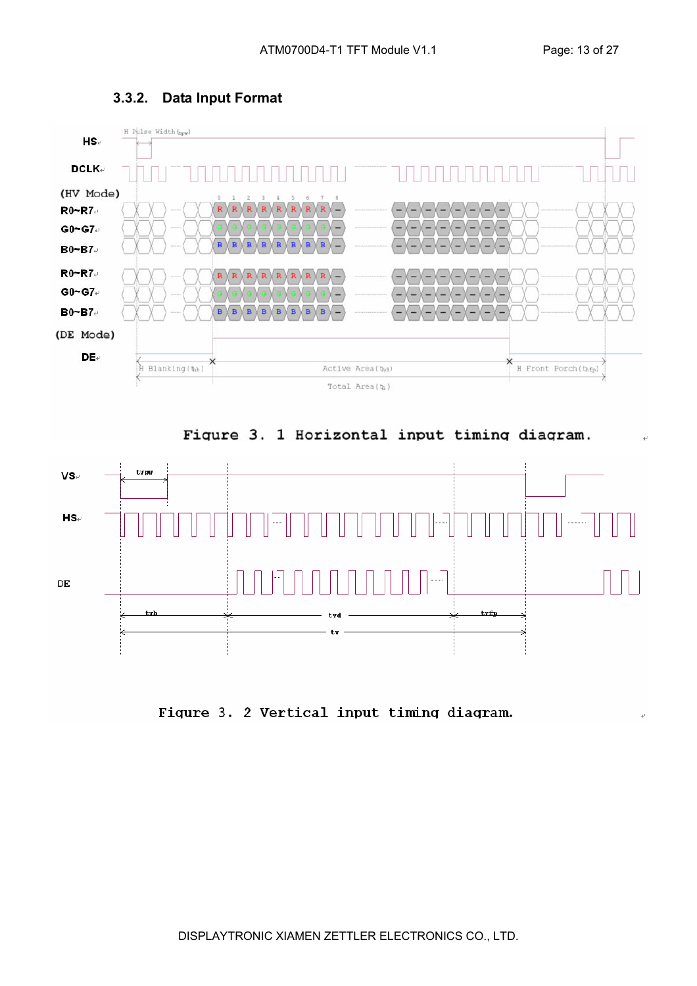

#### 3.3.2. Data Input Format





Figure 3. 2 Vertical input timing diagram.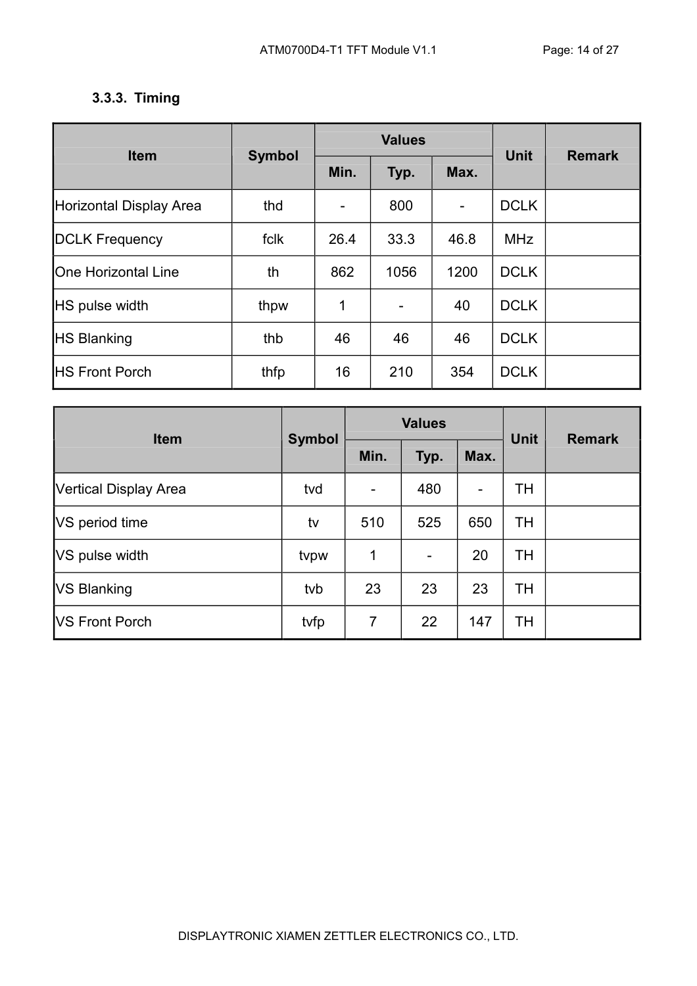#### 3.3.3. Timing

| <b>Item</b>                    | <b>Symbol</b> |      | <b>Values</b>            | <b>Unit</b> | <b>Remark</b> |  |
|--------------------------------|---------------|------|--------------------------|-------------|---------------|--|
|                                |               | Min. | Typ.                     | Max.        |               |  |
| <b>Horizontal Display Area</b> | thd           |      | 800                      | -           | <b>DCLK</b>   |  |
| <b>DCLK Frequency</b>          | fclk          | 26.4 | 33.3                     | 46.8        | <b>MHz</b>    |  |
| <b>One Horizontal Line</b>     | th            | 862  | 1056                     | 1200        | <b>DCLK</b>   |  |
| <b>HS pulse width</b>          | thpw          | 1    | $\overline{\phantom{a}}$ | 40          | <b>DCLK</b>   |  |
| <b>HS Blanking</b>             | thb           | 46   | 46                       | 46          | <b>DCLK</b>   |  |
| <b>HS Front Porch</b>          | thfp          | 16   | 210                      | 354         | <b>DCLK</b>   |  |

| <b>Item</b>           | <b>Symbol</b> |                | <b>Values</b> | <b>Unit</b>                  | <b>Remark</b> |  |
|-----------------------|---------------|----------------|---------------|------------------------------|---------------|--|
|                       |               | Min.           | Typ.          | Max.                         |               |  |
| Vertical Display Area | tvd           |                | 480           | $\qquad \qquad \blacksquare$ | TH            |  |
| VS period time        | tv            | 510            | 525           | 650                          | <b>TH</b>     |  |
| VS pulse width        | tvpw          | 1              |               | 20                           | <b>TH</b>     |  |
| <b>VS Blanking</b>    | tvb           | 23             | 23            | 23                           | <b>TH</b>     |  |
| <b>VS Front Porch</b> | tvfp          | $\overline{7}$ | 22            | 147                          | TН            |  |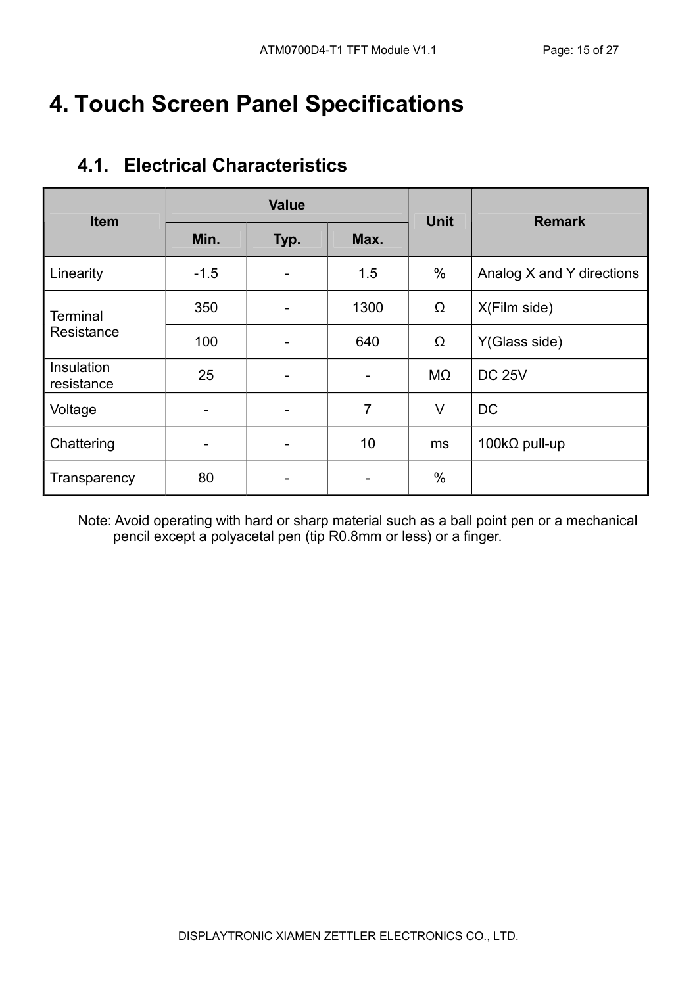# 4. Touch Screen Panel Specifications

| <b>Item</b>                   |        | <b>Value</b> |                | <b>Unit</b> | <b>Remark</b>             |  |
|-------------------------------|--------|--------------|----------------|-------------|---------------------------|--|
|                               | Min.   | Typ.         | Max.           |             |                           |  |
| Linearity                     | $-1.5$ |              | 1.5            | $\%$        | Analog X and Y directions |  |
| <b>Terminal</b><br>Resistance | 350    |              | 1300           | Ω           | X(Film side)              |  |
|                               | 100    |              | 640            | Ω           | Y(Glass side)             |  |
| Insulation<br>resistance      | 25     |              |                | MΩ          | <b>DC 25V</b>             |  |
| Voltage                       |        |              | $\overline{7}$ | $\vee$      | <b>DC</b>                 |  |
| Chattering                    |        |              | 10             | ms          | 100 $k\Omega$ pull-up     |  |
| Transparency                  | 80     |              |                | $\%$        |                           |  |

#### 4.1. Electrical Characteristics

Note: Avoid operating with hard or sharp material such as a ball point pen or a mechanical pencil except a polyacetal pen (tip R0.8mm or less) or a finger.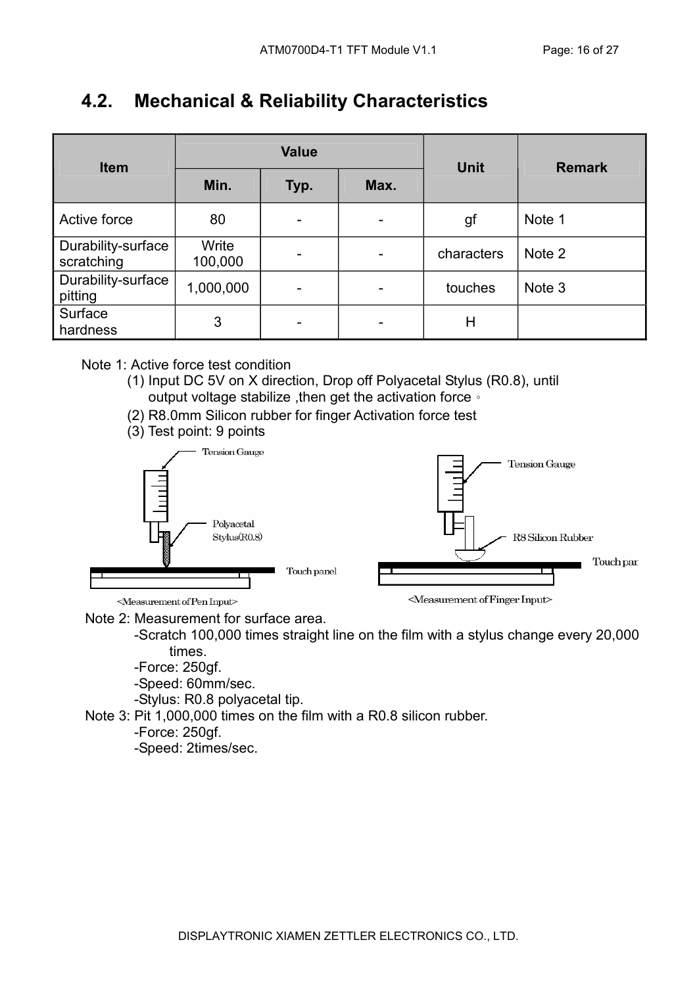### 4.2. Mechanical & Reliability Characteristics

| <b>Item</b>                      |                  | <b>Value</b> |                          | <b>Unit</b> | <b>Remark</b> |  |
|----------------------------------|------------------|--------------|--------------------------|-------------|---------------|--|
|                                  | Min.             | Typ.         | Max.                     |             |               |  |
| Active force                     | 80               | -            | $\overline{\phantom{0}}$ | gf          | Note 1        |  |
| Durability-surface<br>scratching | Write<br>100,000 | -            | -                        | characters  | Note 2        |  |
| Durability-surface<br>pitting    | 1,000,000        | -            |                          | touches     | Note 3        |  |
| Surface<br>hardness              | 3                |              |                          | Н           |               |  |

#### Note 1: Active force test condition

- (1) Input DC 5V on X direction, Drop off Polyacetal Stylus (R0.8), until output voltage stabilize ,then get the activation force。
- (2) R8.0mm Silicon rubber for finger Activation force test
- (3) Test point: 9 points



Note 2: Measurement for surface area.

 -Scratch 100,000 times straight line on the film with a stylus change every 20,000 times.

-Force: 250gf.

-Speed: 60mm/sec.

-Stylus: R0.8 polyacetal tip.

Note 3: Pit 1,000,000 times on the film with a R0.8 silicon rubber.

-Force: 250gf.

-Speed: 2times/sec.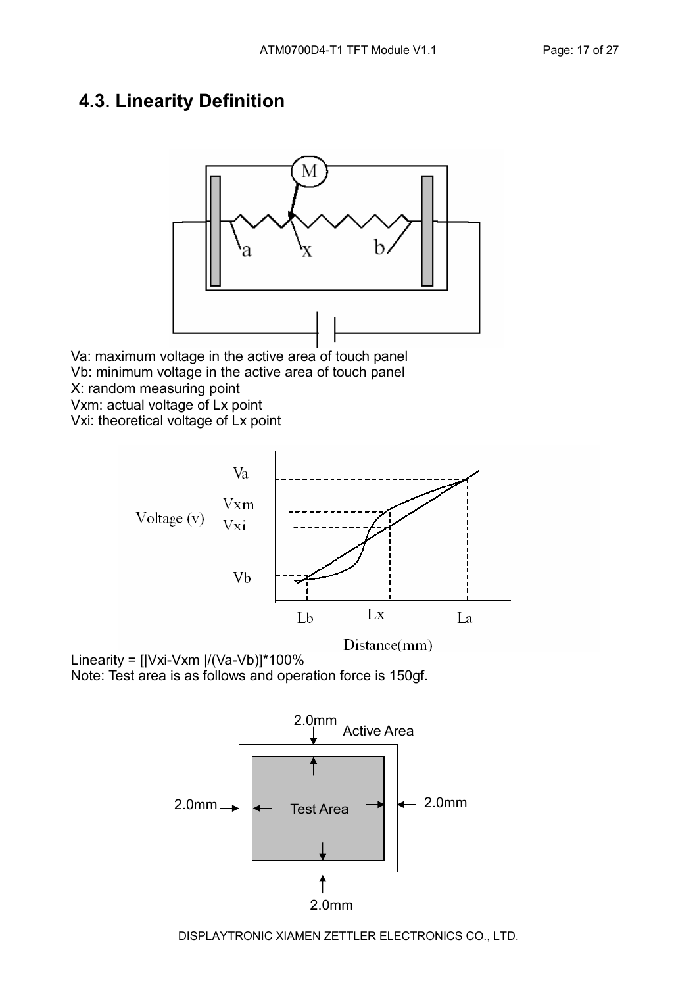#### 4.3. Linearity Definition



Va: maximum voltage in the active area of touch panel Vb: minimum voltage in the active area of touch panel X: random measuring point Vxm: actual voltage of Lx point

Vxi: theoretical voltage of Lx point







DISPLAYTRONIC XIAMEN ZETTLER ELECTRONICS CO., LTD.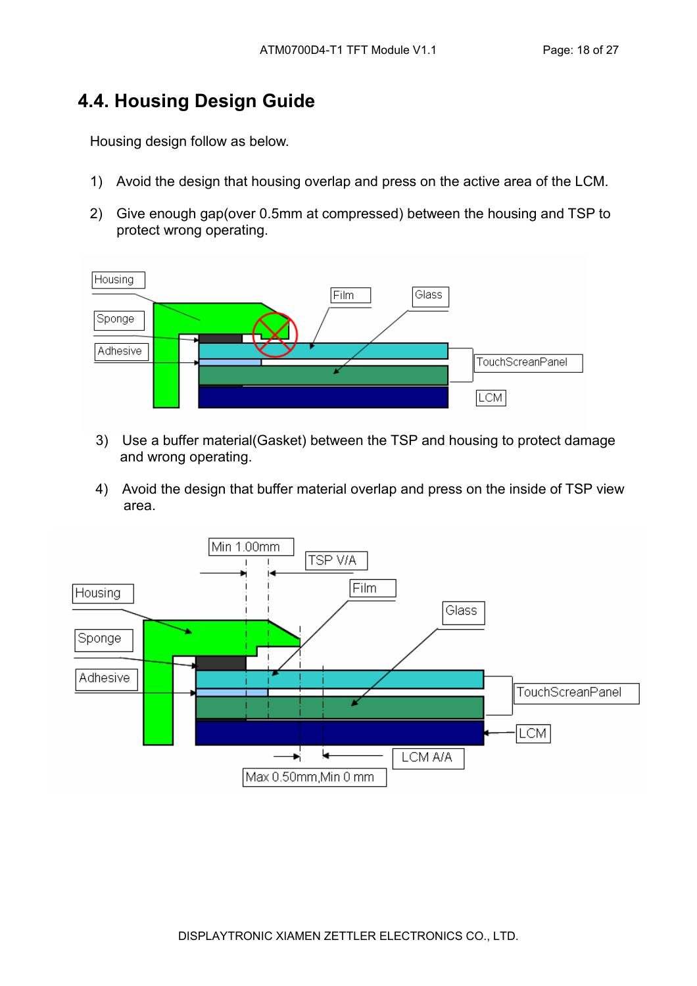### 4.4. Housing Design Guide

Housing design follow as below.

- 1) Avoid the design that housing overlap and press on the active area of the LCM.
- 2) Give enough gap(over 0.5mm at compressed) between the housing and TSP to protect wrong operating.



- 3) Use a buffer material(Gasket) between the TSP and housing to protect damage and wrong operating.
- 4) Avoid the design that buffer material overlap and press on the inside of TSP view area.

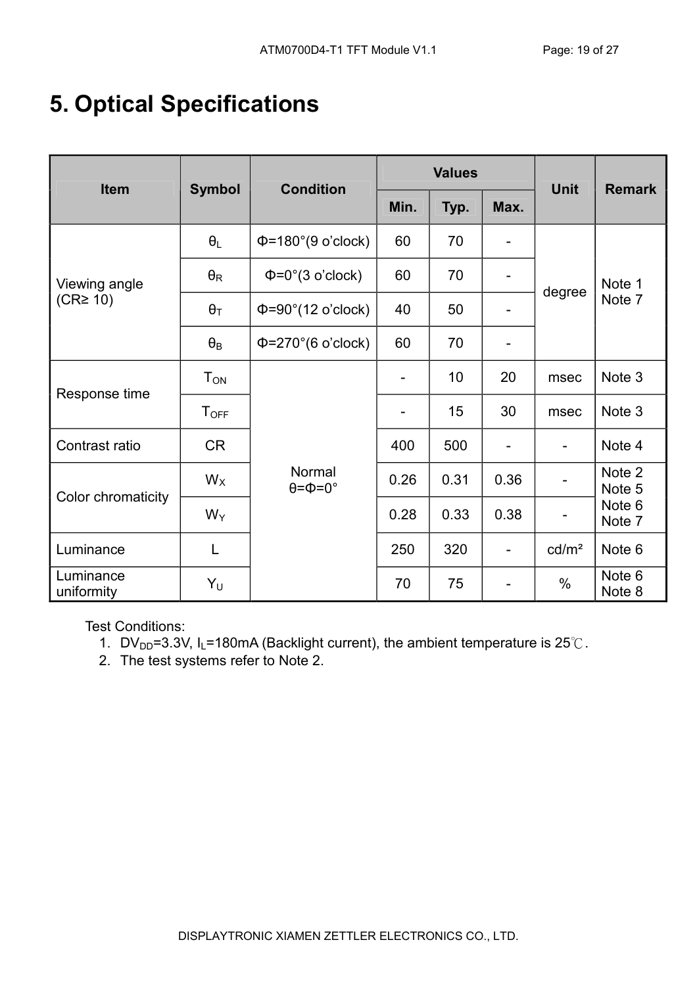# 5. Optical Specifications

| Item                            | <b>Symbol</b>          | <b>Condition</b>                       |      | <b>Values</b> | <b>Unit</b>                  | <b>Remark</b>     |                  |  |
|---------------------------------|------------------------|----------------------------------------|------|---------------|------------------------------|-------------------|------------------|--|
|                                 |                        |                                        | Min. | Typ.          | Max.                         |                   |                  |  |
|                                 | $\theta_L$             | $\Phi$ =180°(9 o'clock)                | 60   | 70            |                              |                   | Note 1<br>Note 7 |  |
| Viewing angle<br>$(CR \geq 10)$ | $\theta_{\mathsf{R}}$  | $\Phi = 0^\circ (3 \text{ o'clock})$   | 60   | 70            |                              | degree            |                  |  |
|                                 | $\theta_T$             | $\Phi = 90^\circ (12 \text{ o'clock})$ | 40   | 50            | $\overline{\phantom{0}}$     |                   |                  |  |
|                                 | $\theta_{\mathsf{B}}$  | $\Phi$ =270°(6 o'clock)                | 60   | 70            | $\qquad \qquad$              |                   |                  |  |
| Response time                   | <b>T</b> <sub>ON</sub> |                                        |      | 10            | 20                           | msec              | Note 3           |  |
|                                 | $T_{\text{OFF}}$       |                                        |      | 15            | 30                           | msec              | Note 3           |  |
| Contrast ratio                  | <b>CR</b>              |                                        | 400  | 500           | $\qquad \qquad \blacksquare$ | $\blacksquare$    | Note 4           |  |
|                                 | $W_X$                  | Normal<br>$\theta = \Phi = 0^\circ$    | 0.26 | 0.31          | 0.36                         |                   | Note 2<br>Note 5 |  |
| Color chromaticity              | $W_Y$                  |                                        | 0.28 | 0.33          | 0.38                         |                   | Note 6<br>Note 7 |  |
| Luminance                       | L                      |                                        | 250  | 320           | $\overline{a}$               | cd/m <sup>2</sup> | Note 6           |  |
| Luminance<br>uniformity         | Yυ                     |                                        | 70   | 75            | -                            | $\%$              | Note 6<br>Note 8 |  |

Test Conditions:

- 1. DV<sub>DD</sub>=3.3V, I<sub>L</sub>=180mA (Backlight current), the ambient temperature is  $25^{\circ}$ C.
- 2. The test systems refer to Note 2.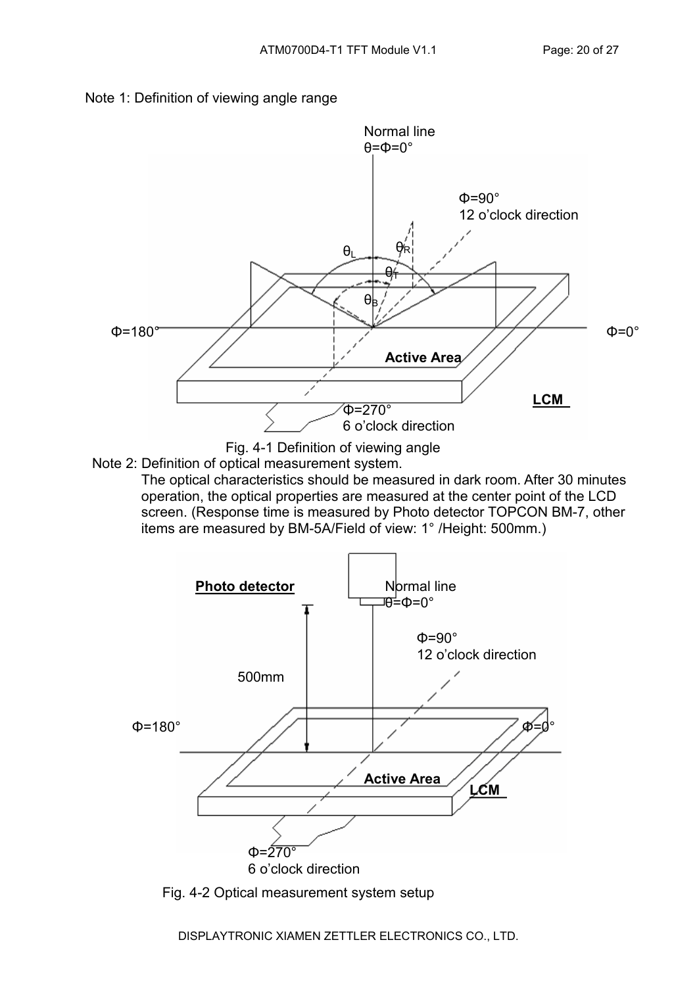



Note 2: Definition of optical measurement system.

 The optical characteristics should be measured in dark room. After 30 minutes operation, the optical properties are measured at the center point of the LCD screen. (Response time is measured by Photo detector TOPCON BM-7, other items are measured by BM-5A/Field of view: 1° /Height: 500mm.)



Fig. 4-2 Optical measurement system setup

DISPLAYTRONIC XIAMEN ZETTLER ELECTRONICS CO., LTD.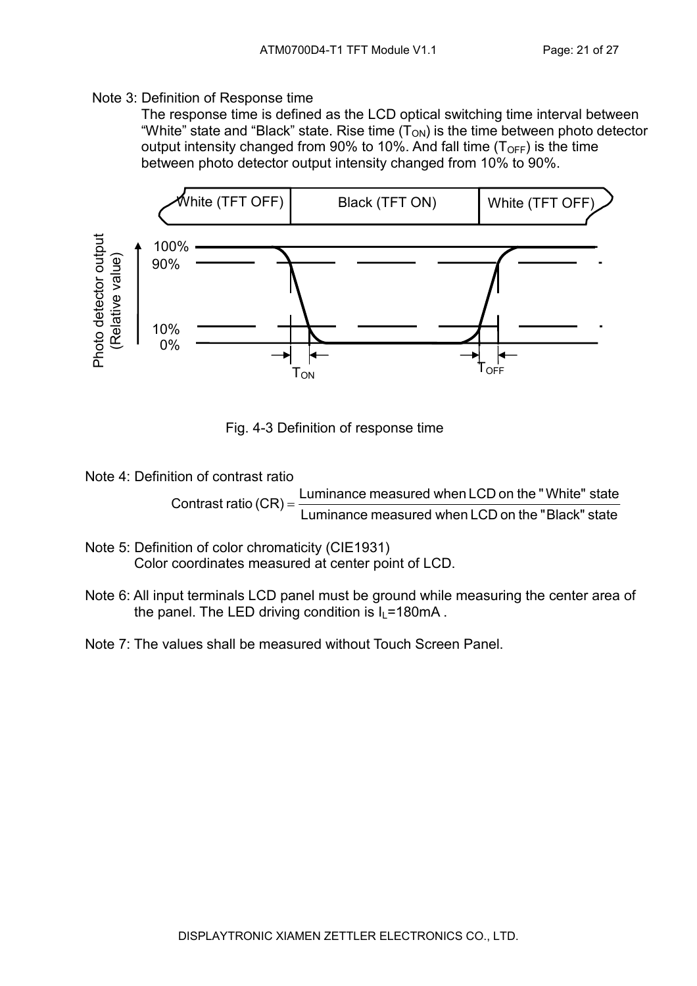#### Note 3: Definition of Response time

 The response time is defined as the LCD optical switching time interval between "White" state and "Black" state. Rise time  $(T_{ON})$  is the time between photo detector output intensity changed from 90% to 10%. And fall time  $(T<sub>OFF</sub>)$  is the time between photo detector output intensity changed from 10% to 90%.



Fig. 4-3 Definition of response time

Note 4: Definition of contrast ratio

Contrast ratio  $(CR) = \frac{E}{L}$  Luminance measured when LCD on the "Black" state Luminance measured when LCD on the "White" state

- Note 5: Definition of color chromaticity (CIE1931) Color coordinates measured at center point of LCD.
- Note 6: All input terminals LCD panel must be ground while measuring the center area of the panel. The LED driving condition is  $I_1$ =180mA.
- Note 7: The values shall be measured without Touch Screen Panel.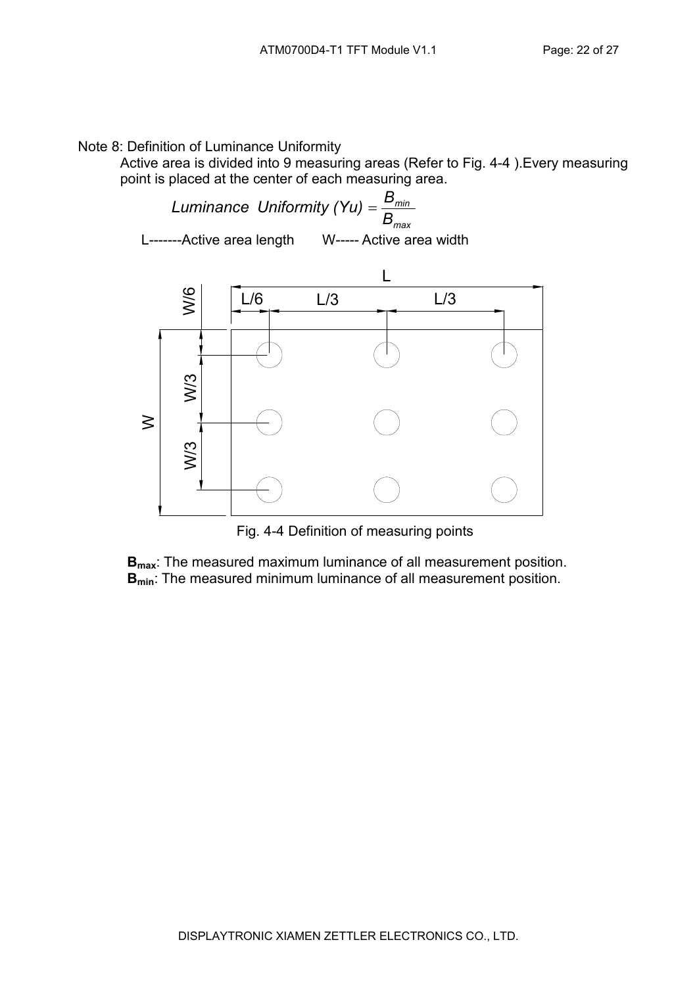Note 8: Definition of Luminance Uniformity

Active area is divided into 9 measuring areas (Refer to Fig. 4-4 ).Every measuring point is placed at the center of each measuring area.

 $\mathcal{L}_{\text{max}}$ min B Luminance Uniformity (Yu) =  $\frac{\textsf{B}}{\textsf{B}}$ W----- Active area width L-------Active area length



Fig. 4-4 Definition of measuring points

B<sub>max</sub>: The measured maximum luminance of all measurement position. **B**<sub>min</sub>: The measured minimum luminance of all measurement position.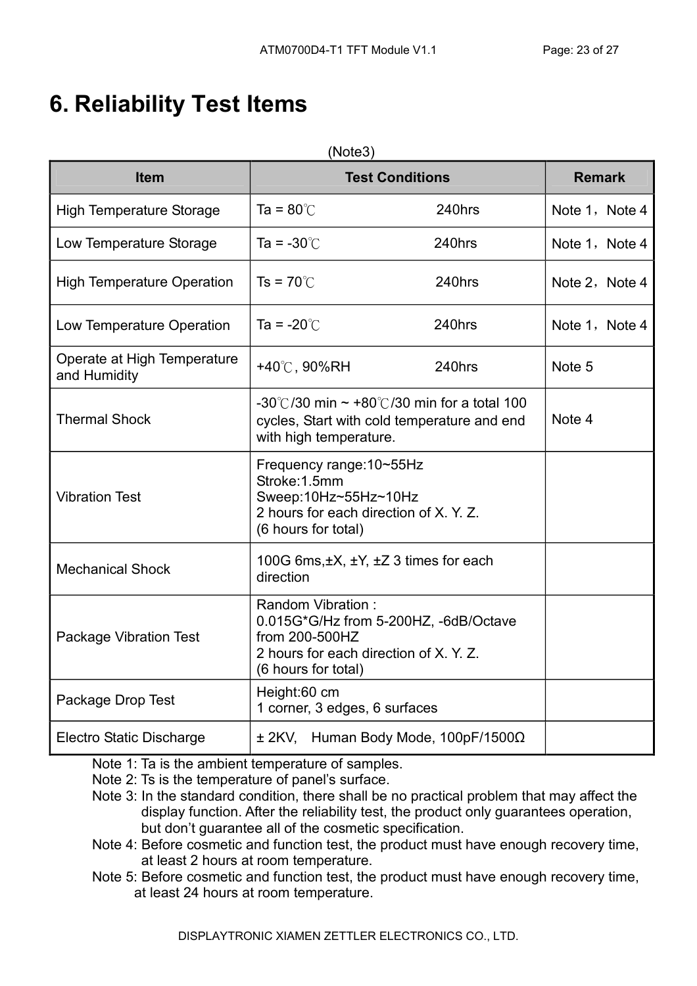# 6. Reliability Test Items

| <b>Item</b>                                 |                                                                                                                                    | <b>Test Conditions</b>                                                                          | <b>Remark</b>  |
|---------------------------------------------|------------------------------------------------------------------------------------------------------------------------------------|-------------------------------------------------------------------------------------------------|----------------|
| <b>High Temperature Storage</b>             | Ta = $80^{\circ}$ C                                                                                                                | 240hrs                                                                                          | Note 1, Note 4 |
| Low Temperature Storage                     | Ta = $-30^{\circ}$ C                                                                                                               | 240hrs                                                                                          | Note 1, Note 4 |
| <b>High Temperature Operation</b>           | $Ts = 70^{\circ}$                                                                                                                  | 240hrs                                                                                          | Note 2, Note 4 |
| Low Temperature Operation                   | Ta = $-20^{\circ}$ C                                                                                                               | 240hrs                                                                                          | Note 1, Note 4 |
| Operate at High Temperature<br>and Humidity | +40℃, 90%RH                                                                                                                        | 240hrs                                                                                          | Note 5         |
| <b>Thermal Shock</b>                        | with high temperature.                                                                                                             | -30°C/30 min $\sim$ +80°C/30 min for a total 100<br>cycles, Start with cold temperature and end | Note 4         |
| <b>Vibration Test</b>                       | Frequency range: 10~55Hz<br>Stroke: 1.5mm<br>Sweep:10Hz~55Hz~10Hz<br>2 hours for each direction of X. Y. Z.<br>(6 hours for total) |                                                                                                 |                |
| <b>Mechanical Shock</b>                     | 100G 6ms, ±X, ±Y, ±Z 3 times for each<br>direction                                                                                 |                                                                                                 |                |
| <b>Package Vibration Test</b>               | Random Vibration:<br>from 200-500HZ<br>2 hours for each direction of X. Y. Z.<br>(6 hours for total)                               | 0.015G*G/Hz from 5-200HZ, -6dB/Octave                                                           |                |
| Package Drop Test                           | Height:60 cm<br>1 corner, 3 edges, 6 surfaces                                                                                      |                                                                                                 |                |
| <b>Electro Static Discharge</b>             |                                                                                                                                    | $\pm$ 2KV, Human Body Mode, 100pF/1500 $\Omega$                                                 |                |

Note 1: Ta is the ambient temperature of samples.

- Note 2: Ts is the temperature of panel's surface.
- Note 3: In the standard condition, there shall be no practical problem that may affect the display function. After the reliability test, the product only guarantees operation, but don't guarantee all of the cosmetic specification.
- Note 4: Before cosmetic and function test, the product must have enough recovery time, at least 2 hours at room temperature.
- Note 5: Before cosmetic and function test, the product must have enough recovery time, at least 24 hours at room temperature.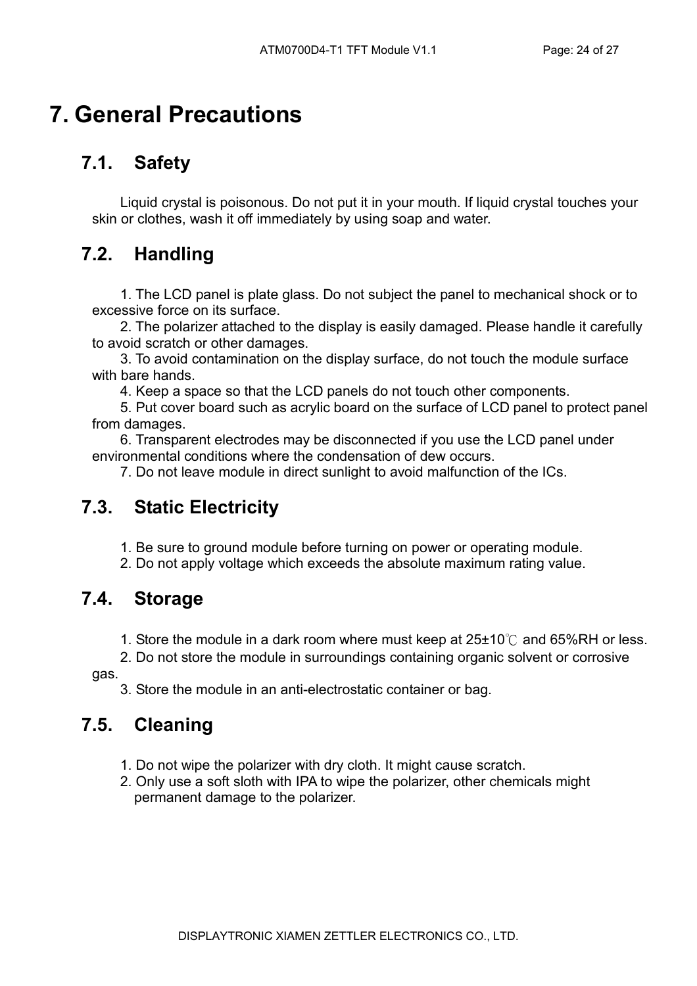# 7. General Precautions

## 7.1. Safety

Liquid crystal is poisonous. Do not put it in your mouth. If liquid crystal touches your skin or clothes, wash it off immediately by using soap and water.

### 7.2. Handling

1. The LCD panel is plate glass. Do not subject the panel to mechanical shock or to excessive force on its surface.

2. The polarizer attached to the display is easily damaged. Please handle it carefully to avoid scratch or other damages.

3. To avoid contamination on the display surface, do not touch the module surface with bare hands.

4. Keep a space so that the LCD panels do not touch other components.

5. Put cover board such as acrylic board on the surface of LCD panel to protect panel from damages.

6. Transparent electrodes may be disconnected if you use the LCD panel under environmental conditions where the condensation of dew occurs.

7. Do not leave module in direct sunlight to avoid malfunction of the ICs.

#### 7.3. Static Electricity

- 1. Be sure to ground module before turning on power or operating module.
- 2. Do not apply voltage which exceeds the absolute maximum rating value.

#### 7.4. Storage

- 1. Store the module in a dark room where must keep at  $25\pm10^{\circ}$  and 65%RH or less.
- 2. Do not store the module in surroundings containing organic solvent or corrosive

gas.

3. Store the module in an anti-electrostatic container or bag.

## 7.5. Cleaning

- 1. Do not wipe the polarizer with dry cloth. It might cause scratch.
- 2. Only use a soft sloth with IPA to wipe the polarizer, other chemicals might permanent damage to the polarizer.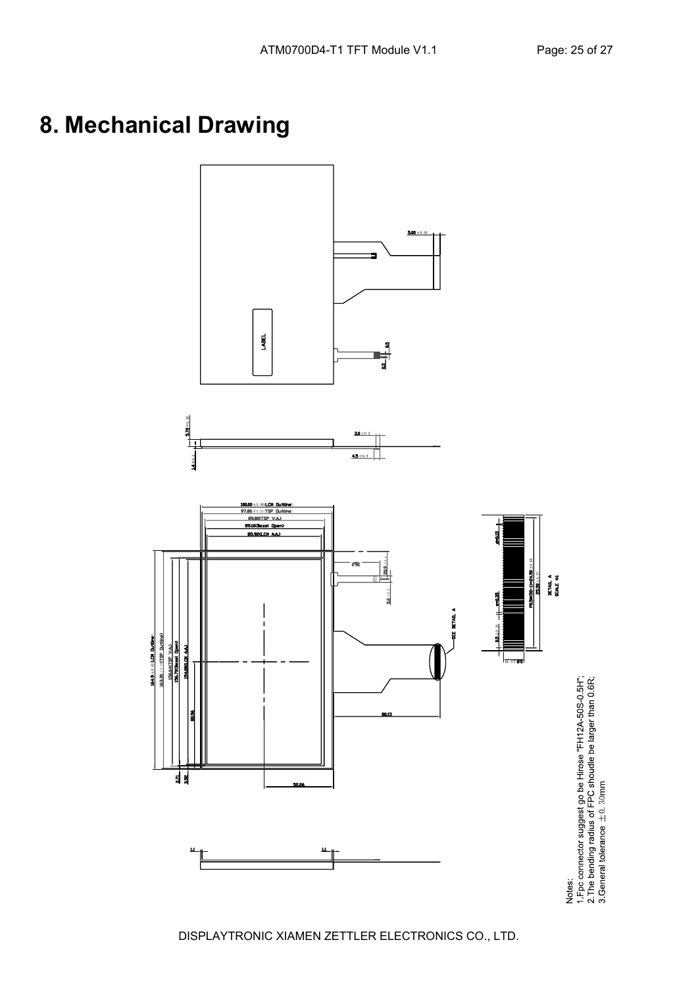# 8. Mechanical Drawing

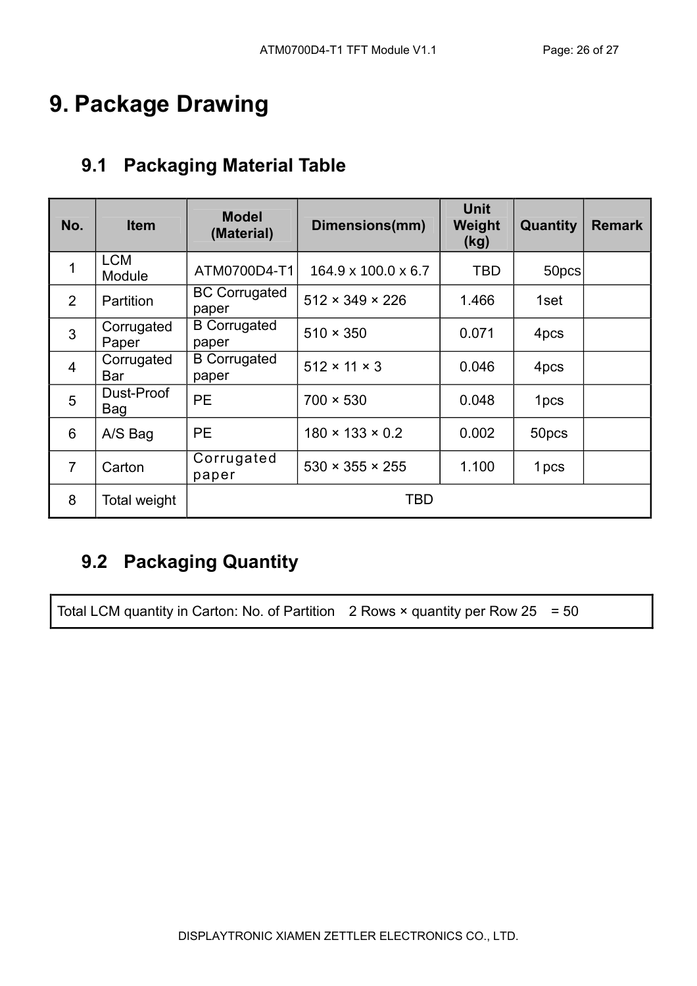# 9. Package Drawing

### 9.1 Packaging Material Table

| No.            | <b>Item</b>          | <b>Model</b><br>(Material)    | Dimensions(mm)                  | <b>Unit</b><br>Weight<br>(kg) | Quantity         | <b>Remark</b> |
|----------------|----------------------|-------------------------------|---------------------------------|-------------------------------|------------------|---------------|
| 1              | <b>LCM</b><br>Module | ATM0700D4-T1                  | $164.9 \times 100.0 \times 6.7$ | <b>TBD</b>                    | 50pcs            |               |
| 2              | Partition            | <b>BC Corrugated</b><br>paper | $512 \times 349 \times 226$     | 1.466                         | 1set             |               |
| $\mathbf{3}$   | Corrugated<br>Paper  | <b>B</b> Corrugated<br>paper  | $510 \times 350$                | 0.071                         | 4pcs             |               |
| $\overline{4}$ | Corrugated<br>Bar    | <b>B</b> Corrugated<br>paper  | $512 \times 11 \times 3$        | 0.046                         | 4pcs             |               |
| 5              | Dust-Proof<br>Bag    | <b>PE</b>                     | $700 \times 530$                | 0.048                         | 1 <sub>pcs</sub> |               |
| 6              | A/S Bag              | <b>PE</b>                     | $180 \times 133 \times 0.2$     | 0.002                         | 50pcs            |               |
| $\overline{7}$ | Carton               | Corrugated<br>paper           | $530 \times 355 \times 255$     | 1.100                         | 1 pcs            |               |
| 8              | Total weight         |                               | TBD                             |                               |                  |               |

## 9.2 Packaging Quantity

Total LCM quantity in Carton: No. of Partition 2 Rows  $\times$  quantity per Row 25 = 50